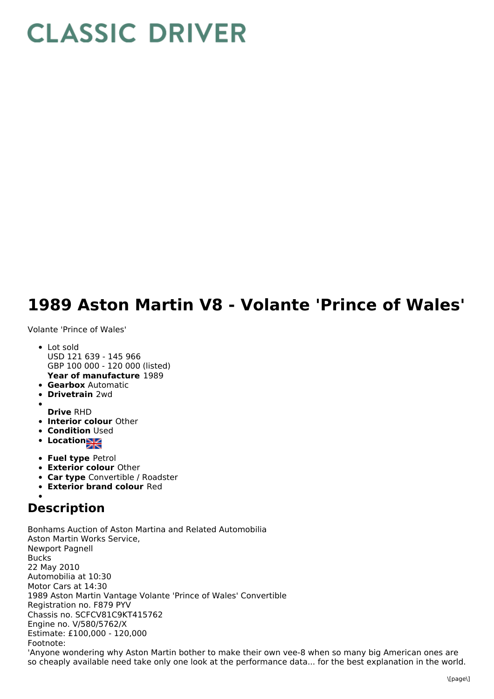## **CLASSIC DRIVER**

## **1989 Aston Martin V8 - Volante 'Prince of Wales'**

Volante 'Prince of Wales'

- **Year of manufacture** 1989 • Lot sold USD 121 639 - 145 966 GBP 100 000 - 120 000 (listed)
- **Gearbox** Automatic
- **Drivetrain** 2wd
- 
- **Drive** RHD
- **Interior colour** Other
- **Condition Used**
- Location
- **Fuel type** Petrol
- **Exterior colour** Other
- **Car type** Convertible / Roadster
- **Exterior brand colour** Red

## **Description**

Bonhams Auction of Aston Martina and Related Automobilia Aston Martin Works Service, Newport Pagnell Bucks 22 May 2010 Automobilia at 10:30 Motor Cars at 14:30 1989 Aston Martin Vantage Volante 'Prince of Wales' Convertible Registration no. F879 PYV Chassis no. SCFCV81C9KT415762 Engine no. V/580/5762/X Estimate: £100,000 - 120,000 Footnote: 'Anyone wondering why Aston Martin bother to make their own vee-8 when so many big American ones are so cheaply available need take only one look at the performance data... for the best explanation in the world.